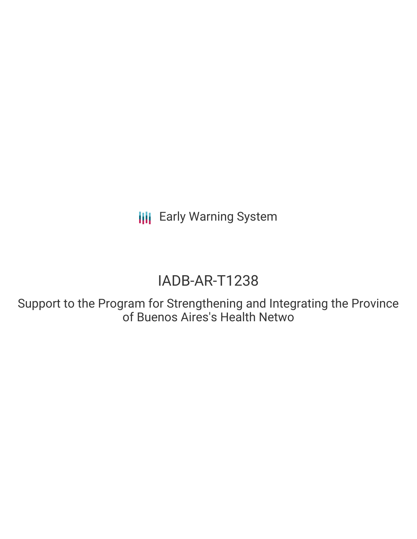**III** Early Warning System

# IADB-AR-T1238

Support to the Program for Strengthening and Integrating the Province of Buenos Aires's Health Netwo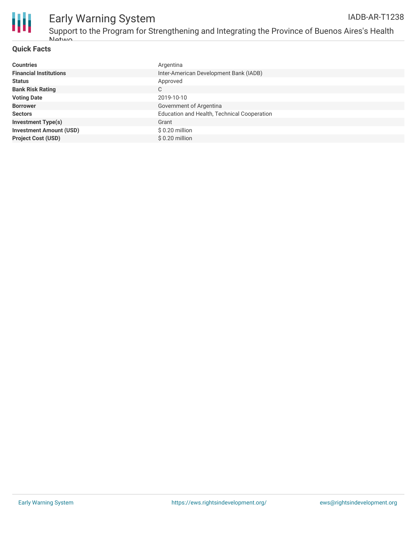

# Early Warning System

#### **Quick Facts**

| <b>Countries</b>               | Argentina                                   |
|--------------------------------|---------------------------------------------|
| <b>Financial Institutions</b>  | Inter-American Development Bank (IADB)      |
| <b>Status</b>                  | Approved                                    |
| <b>Bank Risk Rating</b>        | C                                           |
| <b>Voting Date</b>             | 2019-10-10                                  |
| <b>Borrower</b>                | Government of Argentina                     |
| <b>Sectors</b>                 | Education and Health, Technical Cooperation |
| <b>Investment Type(s)</b>      | Grant                                       |
| <b>Investment Amount (USD)</b> | $$0.20$ million                             |
| <b>Project Cost (USD)</b>      | $$0.20$ million                             |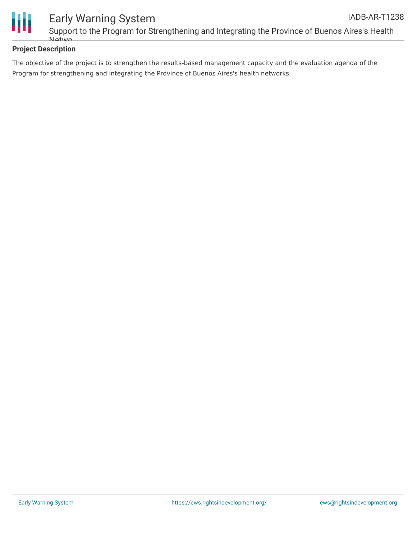

#### **Project Description**

The objective of the project is to strengthen the results-based management capacity and the evaluation agenda of the Program for strengthening and integrating the Province of Buenos Aires's health networks.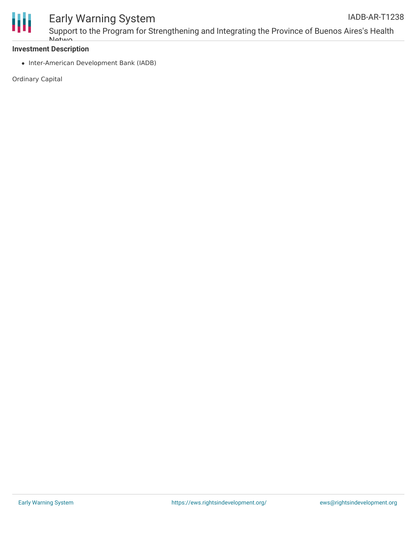

## Early Warning System

#### **Investment Description**

**Netwo** 

• Inter-American Development Bank (IADB)

Ordinary Capital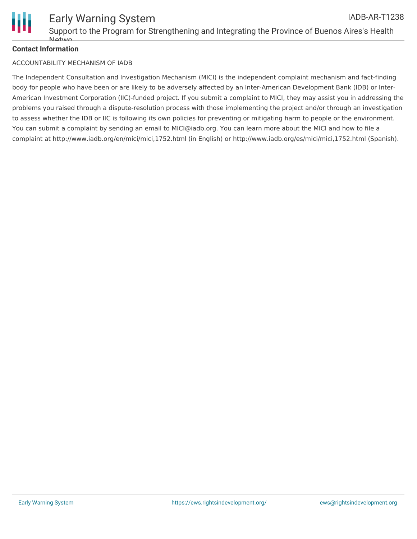

#### **Contact Information**

#### ACCOUNTABILITY MECHANISM OF IADB

The Independent Consultation and Investigation Mechanism (MICI) is the independent complaint mechanism and fact-finding body for people who have been or are likely to be adversely affected by an Inter-American Development Bank (IDB) or Inter-American Investment Corporation (IIC)-funded project. If you submit a complaint to MICI, they may assist you in addressing the problems you raised through a dispute-resolution process with those implementing the project and/or through an investigation to assess whether the IDB or IIC is following its own policies for preventing or mitigating harm to people or the environment. You can submit a complaint by sending an email to MICI@iadb.org. You can learn more about the MICI and how to file a complaint at http://www.iadb.org/en/mici/mici,1752.html (in English) or http://www.iadb.org/es/mici/mici,1752.html (Spanish).